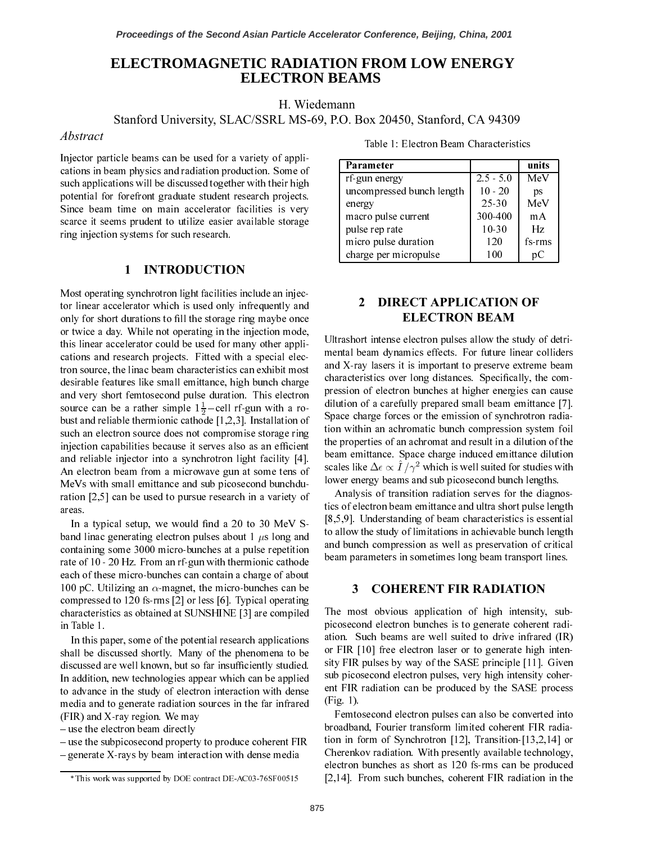# ELECTROMAGNETIC RADIATION FROM LOW ENERGY **ELECTRON BEAMS**

H. Wiedemann

Stanford University, SLAC/SSRL MS-69, P.O. Box 20450, Stanford, CA 94309

## Abstract

Injector particle beams can be used for a variety of applications in beam physics and radiation production. Some of such applications will be discussed together with their high potential for forefront graduate student research projects. Since beam time on main accelerator facilities is very scarce it seems prudent to utilize easier available storage ring injection systems for such research.

#### **INTRODUCTION**  $\mathbf{1}$

Most operating synchrotron light facilities include an injector linear accelerator which is used only infrequently and only for short durations to fill the storage ring maybe once or twice a day. While not operating in the injection mode, this linear accelerator could be used for many other applications and research projects. Fitted with a special electron source, the linac beam characteristics can exhibit most desirable features like small emittance, high bunch charge and very short femtosecond pulse duration. This electron source can be a rather simple  $1\frac{1}{2}$ -cell rf-gun with a robust and reliable thermionic cathode  $[1,2,3]$ . Installation of such an electron source does not compromise storage ring injection capabilities because it serves also as an efficient and reliable injector into a synchrotron light facility [4]. An electron beam from a microwave gun at some tens of MeVs with small emittance and sub picosecond bunchduration  $[2,5]$  can be used to pursue research in a variety of areas.

In a typical setup, we would find a 20 to 30 MeV Sband linac generating electron pulses about 1  $\mu$ s long and containing some 3000 micro-bunches at a pulse repetition rate of 10 - 20 Hz. From an rf-gun with thermionic cathode each of these micro-bunches can contain a charge of about 100 pC. Utilizing an  $\alpha$ -magnet, the micro-bunches can be compressed to 120 fs-rms  $[2]$  or less  $[6]$ . Typical operating characteristics as obtained at SUNSHINE [3] are compiled in Table 1.

In this paper, some of the potential research applications shall be discussed shortly. Many of the phenomena to be discussed are well known, but so far insufficiently studied. In addition, new technologies appear which can be applied to advance in the study of electron interaction with dense media and to generate radiation sources in the far infrared  $(FIR)$  and X-ray region. We may

- use the electron beam directly

 $-$  use the subpicosecond property to produce coherent FIR - generate X-rays by beam interaction with dense media

| Table 1: Electron Beam Characteristics |  |
|----------------------------------------|--|
|----------------------------------------|--|

| Parameter                 |             | units  |
|---------------------------|-------------|--------|
| rf-gun energy             | $2.5 - 5.0$ | MeV    |
| uncompressed bunch length | $10 - 20$   | ps     |
| energy                    | $25 - 30$   | MeV    |
| macro pulse current       | 300-400     | mA     |
| pulse rep rate            | $10 - 30$   | Hz     |
| micro pulse duration      | 12.0        | fs-rms |
| charge per micropulse     | 100         |        |

## $\mathbf{2}$ **DIRECT APPLICATION OF ELECTRON BEAM**

Ultrashort intense electron pulses allow the study of detrimental beam dynamics effects. For future linear colliders and X-ray lasers it is important to preserve extreme beam characteristics over long distances. Specifically, the compression of electron bunches at higher energies can cause dilution of a carefully prepared small beam emittance [7]. Space charge forces or the emission of synchrotron radiation within an achromatic bunch compression system foil the properties of an achromat and result in a dilution of the beam emittance. Space charge induced emittance dilution scales like  $\Delta \epsilon \propto \hat{I}/\gamma^2$  which is well suited for studies with lower energy beams and sub picosecond bunch lengths.

Analysis of transition radiation serves for the diagnostics of electron beam emittance and ultra short pulse length  $[8,5,9]$ . Understanding of beam characteristics is essential to allow the study of limitations in achievable bunch length and bunch compression as well as preservation of critical beam parameters in sometimes long beam transport lines.

#### 3 **COHERENT FIR RADIATION**

The most obvious application of high intensity, subpicosecond electron bunches is to generate coherent radiation. Such beams are well suited to drive infrared (IR) or FIR [10] free electron laser or to generate high intensity FIR pulses by way of the SASE principle [11]. Given sub picosecond electron pulses, very high intensity coherent FIR radiation can be produced by the SASE process  $(Fig. 1)$ 

Femtosecond electron pulses can also be converted into broadband, Fourier transform limited coherent FIR radiation in form of Synchrotron [12], Transition- $[13,2,14]$  or Cherenkov radiation. With presently available technology, electron bunches as short as 120 fs-rms can be produced [2,14]. From such bunches, coherent FIR radiation in the

<sup>\*</sup> This work was supported by DOE contract DE-AC03-76SF00515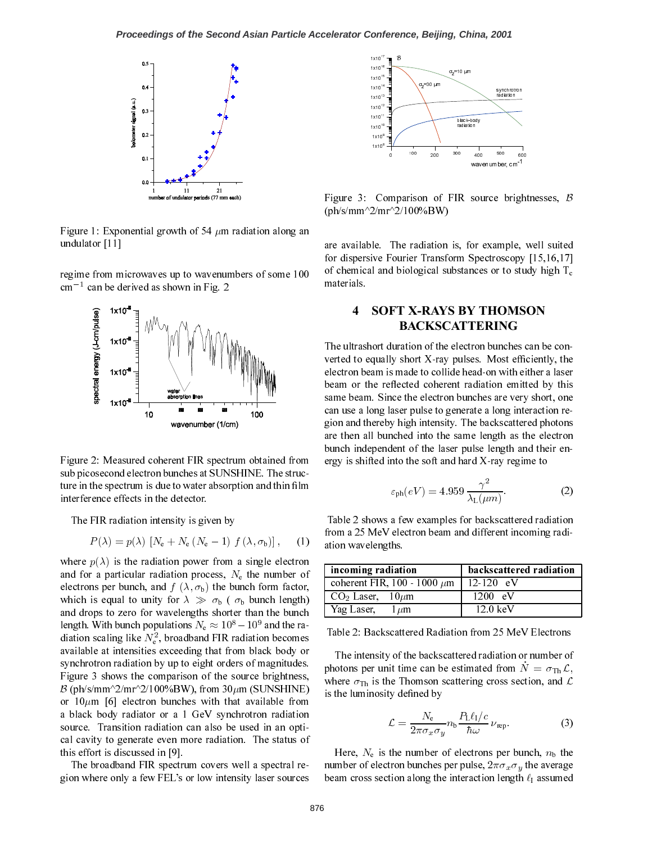

Figure 1: Exponential growth of 54  $\mu$ m radiation along an undulator [11]

regime from microwaves up to wavenumbers of some 100  $cm^{-1}$  can be derived as shown in Fig. 2



Figure 2: Measured coherent FIR spectrum obtained from sub picosecond electron bunches at SUNSHINE. The structure in the spectrum is due to water absorption and thin film interference effects in the detector.

The FIR radiation intensity is given by

$$
P(\lambda) = p(\lambda) \left[ N_e + N_e \left( N_e - 1 \right) f(\lambda, \sigma_b) \right], \quad (1)
$$

where  $p(\lambda)$  is the radiation power from a single electron and for a particular radiation process,  $N_e$  the number of electrons per bunch, and  $f(\lambda, \sigma_b)$  the bunch form factor, which is equal to unity for  $\lambda \gg \sigma_{b}$  ( $\sigma_{b}$  bunch length) and drops to zero for wavelengths shorter than the bunch length. With bunch populations  $N_e \approx 10^8 - 10^9$  and the radiation scaling like  $N_e^2$ , broadband FIR radiation becomes available at intensities exceeding that from black body or synchrotron radiation by up to eight orders of magnitudes. Figure 3 shows the comparison of the source brightness,  $\beta$  (ph/s/mm^2/mr^2/100%BW), from 30 $\mu$ m (SUNSHINE) or  $10 \mu m$  [6] electron bunches with that available from a black body radiator or a 1 GeV synchrotron radiation source. Transition radiation can also be used in an optical cavity to generate even more radiation. The status of this effort is discussed in [9].

The broadband FIR spectrum covers well a spectral region where only a few FEL's or low intensity laser sources



Figure 3: Comparison of FIR source brightnesses,  $\beta$  $(ph/s/mm^2/mr^2/100\%BW)$ 

are available. The radiation is, for example, well suited for dispersive Fourier Transform Spectroscopy [15,16,17] of chemical and biological substances or to study high  $T_c$ materials.

## 4 **SOFT X-RAYS BY THOMSON BACKSCATTERING**

The ultrashort duration of the electron bunches can be converted to equally short X-ray pulses. Most efficiently, the electron beam is made to collide head-on with either a laser beam or the reflected coherent radiation emitted by this same beam. Since the electron bunches are very short, one can use a long laser pulse to generate a long interaction region and thereby high intensity. The backscattered photons are then all bunched into the same length as the electron bunch independent of the laser pulse length and their energy is shifted into the soft and hard X-ray regime to

$$
\varepsilon_{\rm ph}(eV) = 4.959 \frac{\gamma^2}{\lambda_{\rm L}(\mu m)}.\tag{2}
$$

Table 2 shows a few examples for backscattered radiation from a 25 MeV electron beam and different incoming radiation wavelengths.

| incoming radiation               | backscattered radiation |
|----------------------------------|-------------------------|
| coherent FIR, 100 - 1000 $\mu$ m | $12 - 120$ eV           |
| $CO2 Laser, 10 \mu m$            | 1200 eV                 |
| Yag Laser, $1 \mu m$             | $12.0 \text{ keV}$      |

Table 2: Backscattered Radiation from 25 MeV Electrons

The intensity of the backscattered radiation or number of photons per unit time can be estimated from  $N = \sigma_{\text{Th}} \mathcal{L}$ , where  $\sigma_{\text{Th}}$  is the Thomson scattering cross section, and  $\mathcal{L}$ is the luminosity defined by

$$
\mathcal{L} = \frac{N_e}{2\pi\sigma_x\sigma_y} n_b \frac{P_L \ell_I/c}{\hbar \omega} \nu_{\rm rep}.
$$
 (3)

Here,  $N_e$  is the number of electrons per bunch,  $n_b$  the number of electron bunches per pulse,  $2\pi\sigma_x\sigma_y$  the average beam cross section along the interaction length  $\ell_1$  assumed